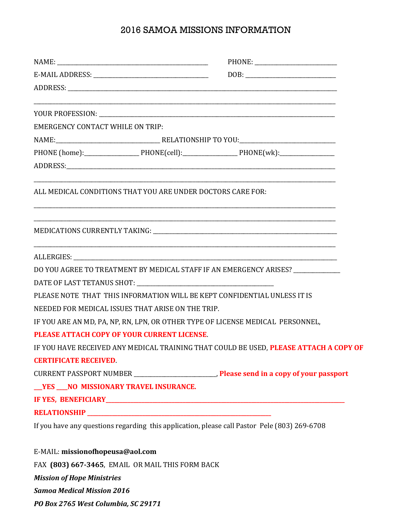## 2016 SAMOA MISSIONS INFORMATION

|                                                          | $DOB: \begin{tabular}{ c c c } \hline \multicolumn{3}{ c }{\textbf{DOB}}: & \multicolumn{3}{ c }{\textbf{O}}: & \multicolumn{3}{ c }{\textbf{OOB}}: \\ \hline \multicolumn{3}{ c }{\textbf{OOB}}: & \multicolumn{3}{ c }{\textbf{O}}: & \multicolumn{3}{ c }{\textbf{O}}: & \multicolumn{3}{ c }{\textbf{OOB}}: & \multicolumn{3}{ c }{\textbf{OOB}}: & \multicolumn{3}{ c }{\textbf{OOB}}: & \multicolumn{3}{ c }{\textbf{OOB}}: &$ |
|----------------------------------------------------------|--------------------------------------------------------------------------------------------------------------------------------------------------------------------------------------------------------------------------------------------------------------------------------------------------------------------------------------------------------------------------------------------------------------------------------------|
|                                                          |                                                                                                                                                                                                                                                                                                                                                                                                                                      |
|                                                          |                                                                                                                                                                                                                                                                                                                                                                                                                                      |
| <b>EMERGENCY CONTACT WHILE ON TRIP:</b>                  |                                                                                                                                                                                                                                                                                                                                                                                                                                      |
|                                                          |                                                                                                                                                                                                                                                                                                                                                                                                                                      |
|                                                          |                                                                                                                                                                                                                                                                                                                                                                                                                                      |
|                                                          |                                                                                                                                                                                                                                                                                                                                                                                                                                      |
| <u> 1980 - Johann Barbara, martxa alemaniar arg</u>      | ALL MEDICAL CONDITIONS THAT YOU ARE UNDER DOCTORS CARE FOR:                                                                                                                                                                                                                                                                                                                                                                          |
|                                                          |                                                                                                                                                                                                                                                                                                                                                                                                                                      |
|                                                          |                                                                                                                                                                                                                                                                                                                                                                                                                                      |
|                                                          | DO YOU AGREE TO TREATMENT BY MEDICAL STAFF IF AN EMERGENCY ARISES? _____________                                                                                                                                                                                                                                                                                                                                                     |
|                                                          |                                                                                                                                                                                                                                                                                                                                                                                                                                      |
|                                                          | PLEASE NOTE THAT THIS INFORMATION WILL BE KEPT CONFIDENTIAL UNLESS IT IS                                                                                                                                                                                                                                                                                                                                                             |
| NEEDED FOR MEDICAL ISSUES THAT ARISE ON THE TRIP.        |                                                                                                                                                                                                                                                                                                                                                                                                                                      |
|                                                          | IF YOU ARE AN MD, PA, NP, RN, LPN, OR OTHER TYPE OF LICENSE MEDICAL PERSONNEL,                                                                                                                                                                                                                                                                                                                                                       |
| PLEASE ATTACH COPY OF YOUR CURRENT LICENSE.              |                                                                                                                                                                                                                                                                                                                                                                                                                                      |
|                                                          | IF YOU HAVE RECEIVED ANY MEDICAL TRAINING THAT COULD BE USED, PLEASE ATTACH A COPY OF                                                                                                                                                                                                                                                                                                                                                |
| <b>CERTIFICATE RECEIVED.</b>                             |                                                                                                                                                                                                                                                                                                                                                                                                                                      |
|                                                          |                                                                                                                                                                                                                                                                                                                                                                                                                                      |
| VES NO MISSIONARY TRAVEL INSURANCE.                      |                                                                                                                                                                                                                                                                                                                                                                                                                                      |
|                                                          |                                                                                                                                                                                                                                                                                                                                                                                                                                      |
|                                                          |                                                                                                                                                                                                                                                                                                                                                                                                                                      |
|                                                          | If you have any questions regarding this application, please call Pastor Pele (803) 269-6708                                                                                                                                                                                                                                                                                                                                         |
| E-MAIL: missionofhopeusa@aol.com                         |                                                                                                                                                                                                                                                                                                                                                                                                                                      |
| <b>EAV (000) CCH 94CH, EMAIL OD MAIL THIS FORM DACIZ</b> |                                                                                                                                                                                                                                                                                                                                                                                                                                      |

FAX **(803) 667-3465**, EMAIL OR MAIL THIS FORM BACK

*Mission of Hope Ministries*

*Samoa Medical Mission 2016*

*PO Box 2765 West Columbia, SC 29171*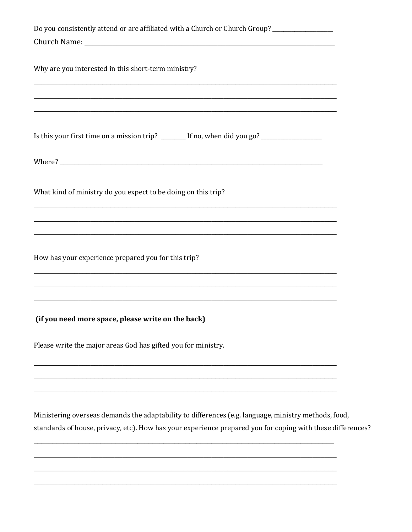| Do you consistently attend or are affiliated with a Church or Church Group? _________________                                                                                                                                 |  |
|-------------------------------------------------------------------------------------------------------------------------------------------------------------------------------------------------------------------------------|--|
|                                                                                                                                                                                                                               |  |
| Why are you interested in this short-term ministry?<br>,我们也不能在这里的人,我们也不能在这里的人,我们也不能在这里的人,我们也不能在这里的人,我们也不能在这里的人,我们也不能在这里的人,我们也不能在这里的人,我们也<br>,我们也不能在这里的人,我们也不能在这里的人,我们也不能在这里的人,我们也不能在这里的人,我们也不能在这里的人,我们也不能在这里的人,我们也不能在这里的人,我们也 |  |
|                                                                                                                                                                                                                               |  |
| Is this your first time on a mission trip? _______ If no, when did you go? ___________________                                                                                                                                |  |
|                                                                                                                                                                                                                               |  |
| What kind of ministry do you expect to be doing on this trip?                                                                                                                                                                 |  |
|                                                                                                                                                                                                                               |  |
| How has your experience prepared you for this trip?                                                                                                                                                                           |  |
| ,我们也不能在这里的人,我们也不能在这里的人,我们也不能在这里的人,我们也不能在这里的人,我们也不能在这里的人,我们也不能在这里的人,我们也不能在这里的人,我们也                                                                                                                                             |  |
| (if you need more space, please write on the back)                                                                                                                                                                            |  |
| Please write the major areas God has gifted you for ministry.                                                                                                                                                                 |  |
|                                                                                                                                                                                                                               |  |
| Ministering overseas demands the adaptability to differences (e.g. language, ministry methods, food,<br>standards of house, privacy, etc). How has your experience prepared you for coping with these differences?            |  |

L.

 $\overline{\phantom{0}}$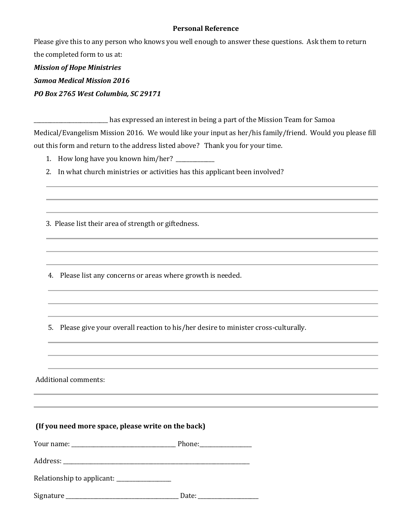## **Personal Reference**

Please give this to any person who knows you well enough to answer these questions. Ask them to return the completed form to us at:

*Mission of Hope Ministries Samoa Medical Mission 2016 PO Box 2765 West Columbia, SC 29171*

\_\_\_\_\_\_\_\_\_\_\_\_\_\_\_\_\_\_\_\_\_\_\_\_\_\_\_ has expressed an interest in being a part of the Mission Team for Samoa Medical/Evangelism Mission 2016. We would like your input as her/his family/friend. Would you please fill out this form and return to the address listed above? Thank you for your time.

1. How long have you known him/her? \_\_\_\_\_\_\_\_\_\_\_\_

2. In what church ministries or activities has this applicant been involved?

3. Please list their area of strength or giftedness.

4. Please list any concerns or areas where growth is needed.

5. Please give your overall reaction to his/her desire to minister cross-culturally.

Additional comments:

| (If you need more space, please write on the back) |  |
|----------------------------------------------------|--|
|----------------------------------------------------|--|